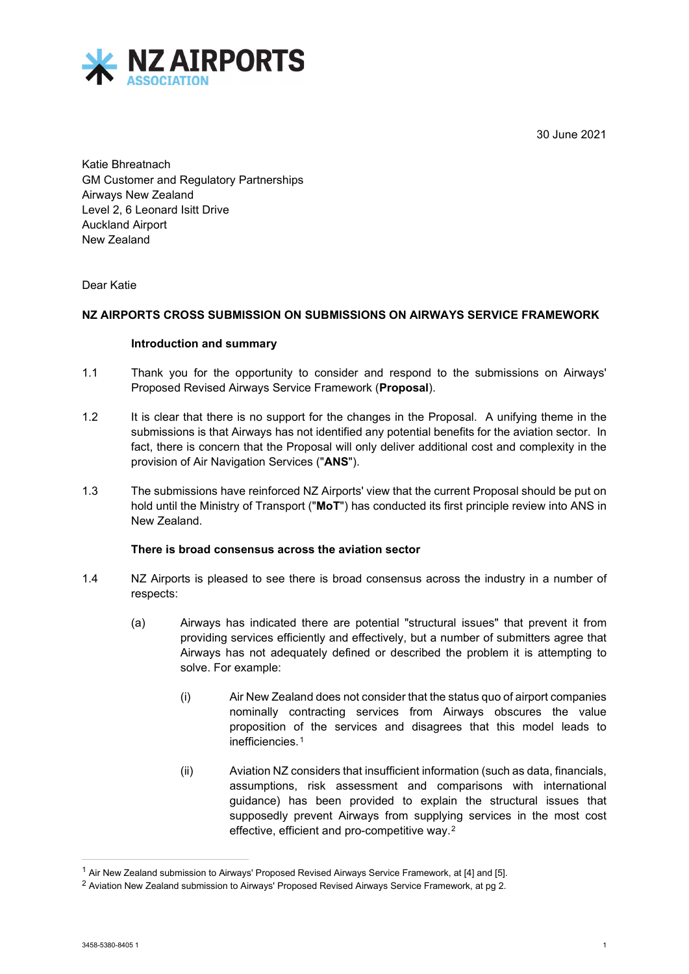30 June 2021



Katie Bhreatnach GM Customer and Regulatory Partnerships Airways New Zealand Level 2, 6 Leonard Isitt Drive Auckland Airport New Zealand

## Dear Katie

# **NZ AIRPORTS CROSS SUBMISSION ON SUBMISSIONS ON AIRWAYS SERVICE FRAMEWORK**

#### **Introduction and summary**

- 1.1 Thank you for the opportunity to consider and respond to the submissions on Airways' Proposed Revised Airways Service Framework (**Proposal**).
- 1.2 It is clear that there is no support for the changes in the Proposal. A unifying theme in the submissions is that Airways has not identified any potential benefits for the aviation sector. In fact, there is concern that the Proposal will only deliver additional cost and complexity in the provision of Air Navigation Services ("**ANS**").
- 1.3 The submissions have reinforced NZ Airports' view that the current Proposal should be put on hold until the Ministry of Transport ("**MoT**") has conducted its first principle review into ANS in New Zealand.

## **There is broad consensus across the aviation sector**

- 1.4 NZ Airports is pleased to see there is broad consensus across the industry in a number of respects:
	- (a) Airways has indicated there are potential "structural issues" that prevent it from providing services efficiently and effectively, but a number of submitters agree that Airways has not adequately defined or described the problem it is attempting to solve. For example:
		- (i) Air New Zealand does not consider that the status quo of airport companies nominally contracting services from Airways obscures the value proposition of the services and disagrees that this model leads to inefficiencies.[1](#page-0-0)
		- (ii) Aviation NZ considers that insufficient information (such as data, financials, assumptions, risk assessment and comparisons with international guidance) has been provided to explain the structural issues that supposedly prevent Airways from supplying services in the most cost effective, efficient and pro-competitive way.[2](#page-0-1)

<span id="page-0-0"></span><sup>1</sup> Air New Zealand submission to Airways' Proposed Revised Airways Service Framework, at [4] and [5].

<span id="page-0-1"></span><sup>&</sup>lt;sup>2</sup> Aviation New Zealand submission to Airways' Proposed Revised Airways Service Framework, at pg 2.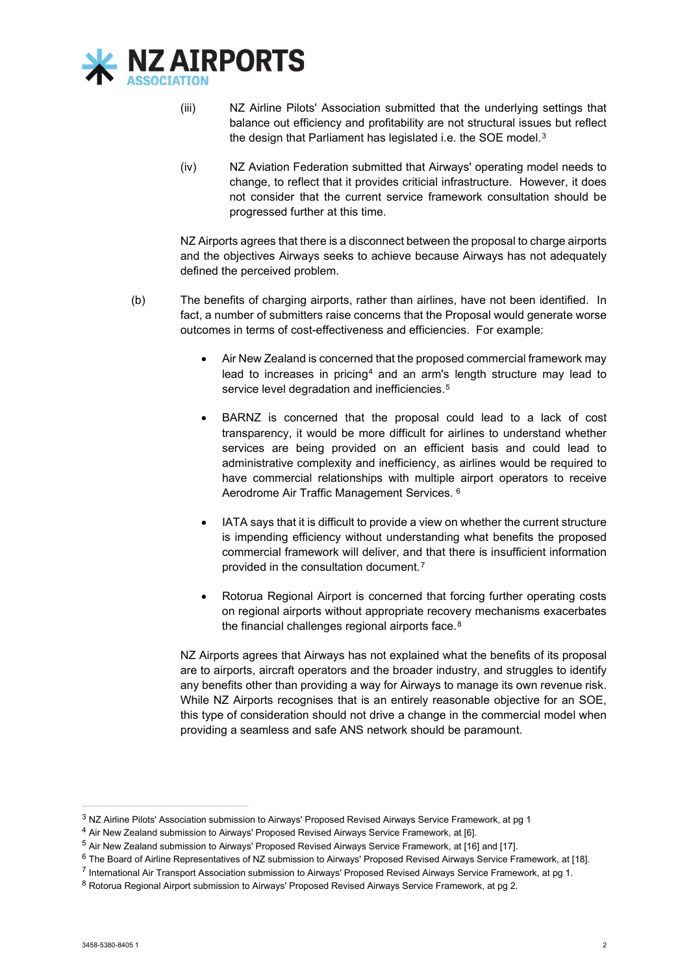

- (iii) NZ Airline Pilots' Association submitted that the underlying settings that balance out efficiency and profitability are not structural issues but reflect the design that Parliament has legislated i.e. the SOE model.<sup>[3](#page-1-0)</sup>
- (iv) NZ Aviation Federation submitted that Airways' operating model needs to change, to reflect that it provides criticial infrastructure. However, it does not consider that the current service framework consultation should be progressed further at this time.

NZ Airports agrees that there is a disconnect between the proposal to charge airports and the objectives Airways seeks to achieve because Airways has not adequately defined the perceived problem.

- (b) The benefits of charging airports, rather than airlines, have not been identified. In fact, a number of submitters raise concerns that the Proposal would generate worse outcomes in terms of cost-effectiveness and efficiencies. For example:
	- Air New Zealand is concerned that the proposed commercial framework may lead to increases in pricing<sup>[4](#page-1-1)</sup> and an arm's length structure may lead to service level degradation and inefficiencies.<sup>[5](#page-1-2)</sup>
	- BARNZ is concerned that the proposal could lead to a lack of cost transparency, it would be more difficult for airlines to understand whether services are being provided on an efficient basis and could lead to administrative complexity and inefficiency, as airlines would be required to have commercial relationships with multiple airport operators to receive Aerodrome Air Traffic Management Services. [6](#page-1-3)
	- IATA says that it is difficult to provide a view on whether the current structure is impending efficiency without understanding what benefits the proposed commercial framework will deliver, and that there is insufficient information provided in the consultation document.[7](#page-1-4)
	- Rotorua Regional Airport is concerned that forcing further operating costs on regional airports without appropriate recovery mechanisms exacerbates the financial challenges regional airports face.<sup>[8](#page-1-5)</sup>

NZ Airports agrees that Airways has not explained what the benefits of its proposal are to airports, aircraft operators and the broader industry, and struggles to identify any benefits other than providing a way for Airways to manage its own revenue risk. While NZ Airports recognises that is an entirely reasonable objective for an SOE, this type of consideration should not drive a change in the commercial model when providing a seamless and safe ANS network should be paramount.

<span id="page-1-0"></span><sup>3</sup> NZ Airline Pilots' Association submission to Airways' Proposed Revised Airways Service Framework, at pg 1

<span id="page-1-1"></span><sup>4</sup> Air New Zealand submission to Airways' Proposed Revised Airways Service Framework, at [6].

<span id="page-1-2"></span><sup>5</sup> Air New Zealand submission to Airways' Proposed Revised Airways Service Framework, at [16] and [17].

<span id="page-1-4"></span><span id="page-1-3"></span> $6$  The Board of Airline Representatives of NZ submission to Airways' Proposed Revised Airways Service Framework, at [18].

<sup>7</sup> International Air Transport Association submission to Airways' Proposed Revised Airways Service Framework, at pg 1.

<span id="page-1-5"></span><sup>&</sup>lt;sup>8</sup> Rotorua Regional Airport submission to Airways' Proposed Revised Airways Service Framework, at pg 2.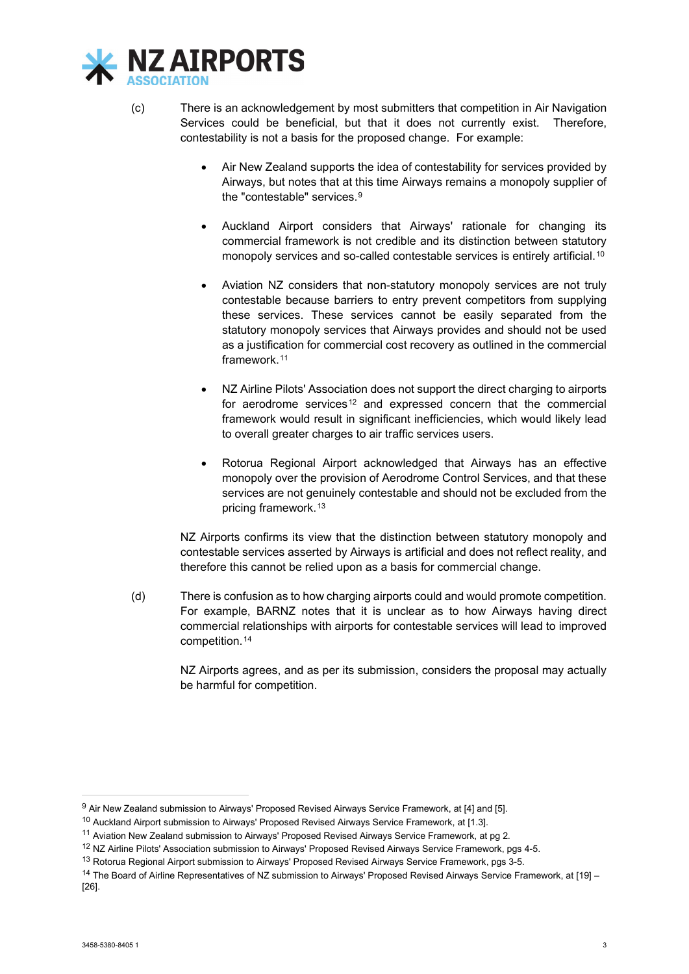

- (c) There is an acknowledgement by most submitters that competition in Air Navigation Services could be beneficial, but that it does not currently exist. Therefore, contestability is not a basis for the proposed change. For example:
	- Air New Zealand supports the idea of contestability for services provided by Airways, but notes that at this time Airways remains a monopoly supplier of the "contestable" services.[9](#page-2-0)
	- Auckland Airport considers that Airways' rationale for changing its commercial framework is not credible and its distinction between statutory monopoly services and so-called contestable services is entirely artificial.<sup>10</sup>
	- Aviation NZ considers that non-statutory monopoly services are not truly contestable because barriers to entry prevent competitors from supplying these services. These services cannot be easily separated from the statutory monopoly services that Airways provides and should not be used as a justification for commercial cost recovery as outlined in the commercial framework.[11](#page-2-2)
	- NZ Airline Pilots' Association does not support the direct charging to airports for aerodrome services<sup>[12](#page-2-3)</sup> and expressed concern that the commercial framework would result in significant inefficiencies, which would likely lead to overall greater charges to air traffic services users.
	- Rotorua Regional Airport acknowledged that Airways has an effective monopoly over the provision of Aerodrome Control Services, and that these services are not genuinely contestable and should not be excluded from the pricing framework.[13](#page-2-4)

NZ Airports confirms its view that the distinction between statutory monopoly and contestable services asserted by Airways is artificial and does not reflect reality, and therefore this cannot be relied upon as a basis for commercial change.

(d) There is confusion as to how charging airports could and would promote competition. For example, BARNZ notes that it is unclear as to how Airways having direct commercial relationships with airports for contestable services will lead to improved competition.[14](#page-2-5)

> NZ Airports agrees, and as per its submission, considers the proposal may actually be harmful for competition.

<span id="page-2-0"></span><sup>&</sup>lt;sup>9</sup> Air New Zealand submission to Airways' Proposed Revised Airways Service Framework, at [4] and [5].

<span id="page-2-1"></span><sup>10</sup> Auckland Airport submission to Airways' Proposed Revised Airways Service Framework, at [1.3].

<span id="page-2-2"></span><sup>11</sup> Aviation New Zealand submission to Airways' Proposed Revised Airways Service Framework, at pg 2.

<span id="page-2-3"></span><sup>12</sup> NZ Airline Pilots' Association submission to Airways' Proposed Revised Airways Service Framework, pgs 4-5.

<span id="page-2-4"></span><sup>13</sup> Rotorua Regional Airport submission to Airways' Proposed Revised Airways Service Framework, pgs 3-5.

<span id="page-2-5"></span><sup>&</sup>lt;sup>14</sup> The Board of Airline Representatives of NZ submission to Airways' Proposed Revised Airways Service Framework, at [19] -[26].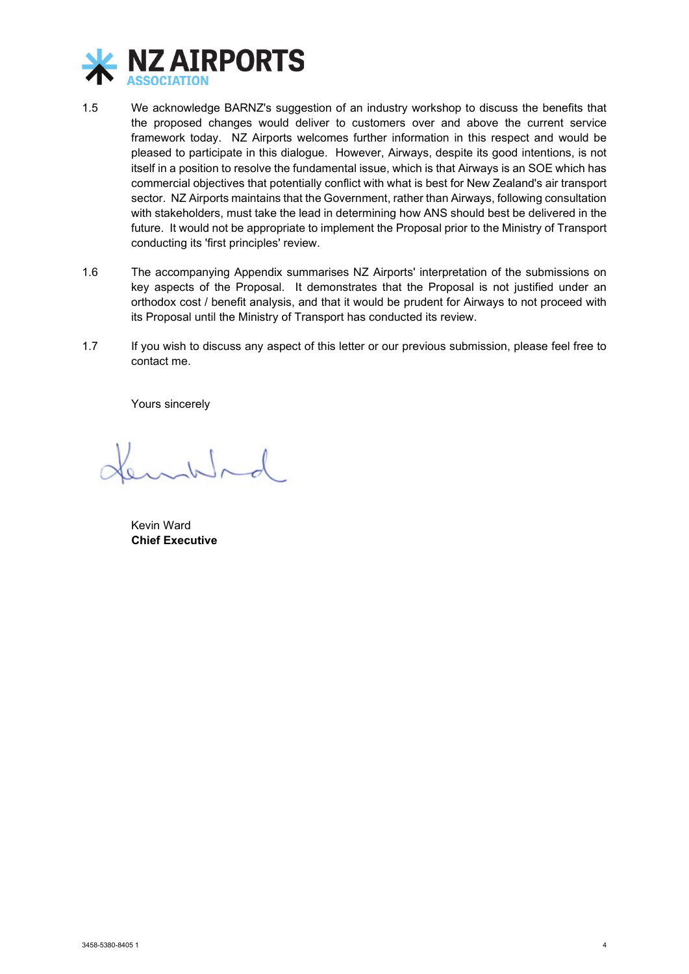

- 1.5 We acknowledge BARNZ's suggestion of an industry workshop to discuss the benefits that the proposed changes would deliver to customers over and above the current service framework today. NZ Airports welcomes further information in this respect and would be pleased to participate in this dialogue. However, Airways, despite its good intentions, is not itself in a position to resolve the fundamental issue, which is that Airways is an SOE which has commercial objectives that potentially conflict with what is best for New Zealand's air transport sector. NZ Airports maintains that the Government, rather than Airways, following consultation with stakeholders, must take the lead in determining how ANS should best be delivered in the future. It would not be appropriate to implement the Proposal prior to the Ministry of Transport conducting its 'first principles' review.
- 1.6 The accompanying Appendix summarises NZ Airports' interpretation of the submissions on key aspects of the Proposal. It demonstrates that the Proposal is not justified under an orthodox cost / benefit analysis, and that it would be prudent for Airways to not proceed with its Proposal until the Ministry of Transport has conducted its review.
- 1.7 If you wish to discuss any aspect of this letter or our previous submission, please feel free to contact me.

Yours sincerely

 $\sim$ 

Kevin Ward **Chief Executive**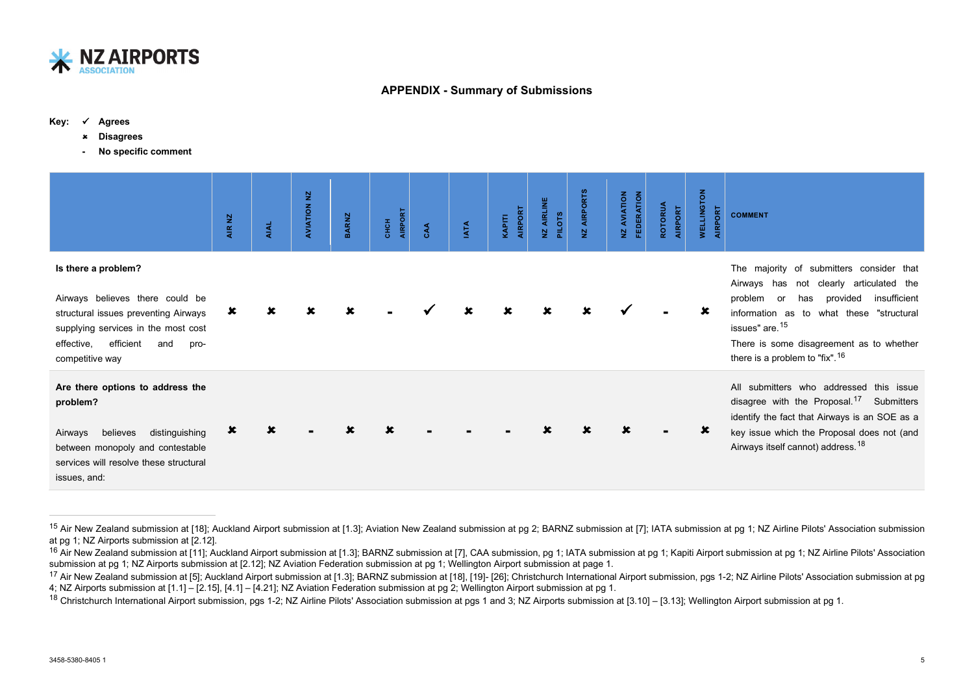

## <span id="page-4-3"></span><span id="page-4-2"></span><span id="page-4-1"></span><span id="page-4-0"></span>**APPENDIX - Summary of Submissions**

#### **Key: Agrees**

- **Disagrees**
	- **- No specific comment**

|                                                                                                                                                                                                    | AIR NZ         | <b>AIAL</b> | <b>AVIATION NZ</b> | BARNZ | AIRPORT<br><b>CHCH</b> | CAA | <b>IATA</b> | AIRPORT<br>KAPITI | NZ AIRLINE<br><b>PILOTS</b> | <b>AIRPORTS</b><br>ዾ | FEDERATION<br>AVIATION<br>실 | ROTORUA<br>AIRPORT | <b>WELLINGTON</b><br>AIRPORT | <b>COMMENT</b>                                                                                                                                                                                                                                                                                        |
|----------------------------------------------------------------------------------------------------------------------------------------------------------------------------------------------------|----------------|-------------|--------------------|-------|------------------------|-----|-------------|-------------------|-----------------------------|----------------------|-----------------------------|--------------------|------------------------------|-------------------------------------------------------------------------------------------------------------------------------------------------------------------------------------------------------------------------------------------------------------------------------------------------------|
| Is there a problem?<br>Airways believes there could be<br>structural issues preventing Airways<br>supplying services in the most cost<br>efficient<br>effective,<br>and<br>pro-<br>competitive way | ×              |             |                    |       |                        |     |             |                   |                             |                      |                             |                    |                              | The majority of submitters consider that<br>Airways has<br>not clearly articulated the<br>insufficient<br>provided<br>problem<br>has<br>or<br>information as to what these "structural<br>issues" are. <sup>15</sup><br>There is some disagreement as to whether<br>there is a problem to "fix". $16$ |
| Are there options to address the<br>problem?<br>distinguishing<br>believes<br>Airways<br>between monopoly and contestable<br>services will resolve these structural<br>issues, and:                | $\pmb{\times}$ |             |                    |       |                        |     |             |                   |                             |                      |                             |                    |                              | All submitters who addressed this issue<br>disagree with the Proposal. <sup>17</sup> Submitters<br>identify the fact that Airways is an SOE as a<br>key issue which the Proposal does not (and<br>Airways itself cannot) address. <sup>18</sup>                                                       |

<sup>&</sup>lt;sup>15</sup> Air New Zealand submission at [18]; Auckland Airport submission at [1.3]; Aviation New Zealand submission at pg 2; BARNZ submission at [7]; IATA submission at pg 1; NZ Airline Pilots' Association submission at pg 1; NZ Airports submission at [2.12].

<sup>&</sup>lt;sup>16</sup> Air New Zealand submission at [11]; Auckland Airport submission at [1.3]; BARNZ submission at [7], CAA submission, pg 1; IATA submission at pg 1; Kapiti Airport submission at pg 1; NZ Airline Pilots' Association submission at pg 1; NZ Airports submission at [2.12]; NZ Aviation Federation submission at pg 1; Wellington Airport submission at page 1.

<sup>&</sup>lt;sup>17</sup> Air New Zealand submission at [5]; Auckland Airport submission at [1.3]; BARNZ submission at [18], [19]- [26]; Christchurch International Airport submission, pgs 1-2; NZ Airline Pilots' Association submission at pg 4; NZ Airports submission at [1.1] – [2.15], [4.1] – [4.21]; NZ Aviation Federation submission at pg 2; Wellington Airport submission at pg 1.

<sup>&</sup>lt;sup>18</sup> Christchurch International Airport submission, pgs 1-2; NZ Airline Pilots' Association submission at pgs 1 and 3; NZ Airports submission at [3.10] – [3.13]; Wellington Airport submission at pg 1.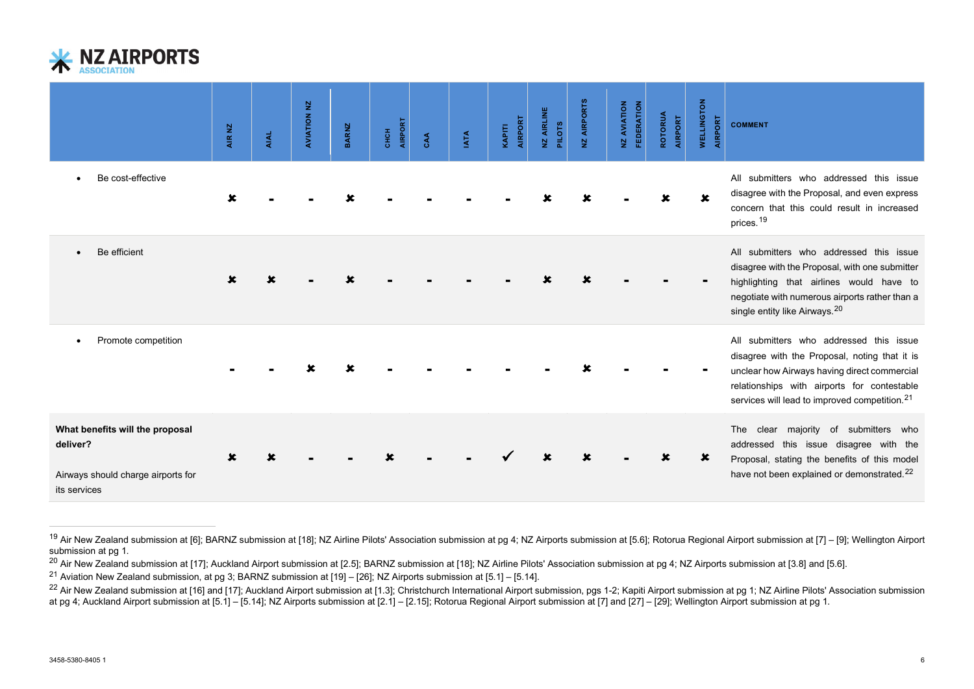<span id="page-5-3"></span><span id="page-5-2"></span><span id="page-5-1"></span><span id="page-5-0"></span>

|                                                                                                                                                                                                                                                                                                                                                                                                                                                                                                                                                                                      | AIR NZ | AIAL | $\Sigma$<br>AVIATION | <b>BARNZ</b> | AIRPORT<br><b>CHCH</b> | CAA | <b>IATA</b> | AIRPORT<br>KAPITI | NZ AIRLINE<br><b>PILOTS</b> | NZ AIRPORTS | FEDERATION<br>NZ AVIATION | <b>ROTORUA</b><br>AIRPORT | <b>WELLINGTON</b><br>AIRPORT | <b>COMMENT</b>                                                                                                                                                                                                                                                                                                                                                                                                                                                               |
|--------------------------------------------------------------------------------------------------------------------------------------------------------------------------------------------------------------------------------------------------------------------------------------------------------------------------------------------------------------------------------------------------------------------------------------------------------------------------------------------------------------------------------------------------------------------------------------|--------|------|----------------------|--------------|------------------------|-----|-------------|-------------------|-----------------------------|-------------|---------------------------|---------------------------|------------------------------|------------------------------------------------------------------------------------------------------------------------------------------------------------------------------------------------------------------------------------------------------------------------------------------------------------------------------------------------------------------------------------------------------------------------------------------------------------------------------|
| Be cost-effective                                                                                                                                                                                                                                                                                                                                                                                                                                                                                                                                                                    | x      |      |                      |              |                        |     |             |                   |                             |             |                           |                           |                              | All submitters who addressed this issue<br>disagree with the Proposal, and even express<br>concern that this could result in increased<br>prices. <sup>19</sup>                                                                                                                                                                                                                                                                                                              |
| Be efficient                                                                                                                                                                                                                                                                                                                                                                                                                                                                                                                                                                         |        |      |                      |              |                        |     |             |                   |                             |             |                           |                           |                              | All submitters who addressed this issue<br>disagree with the Proposal, with one submitter<br>highlighting that airlines would have to<br>negotiate with numerous airports rather than a<br>single entity like Airways. <sup>20</sup>                                                                                                                                                                                                                                         |
| Promote competition                                                                                                                                                                                                                                                                                                                                                                                                                                                                                                                                                                  |        |      |                      |              |                        |     |             |                   |                             |             |                           |                           |                              | All submitters who addressed this issue<br>disagree with the Proposal, noting that it is<br>unclear how Airways having direct commercial<br>relationships with airports for contestable<br>services will lead to improved competition. <sup>21</sup>                                                                                                                                                                                                                         |
| What benefits will the proposal<br>deliver?<br>Airways should charge airports for<br>its services                                                                                                                                                                                                                                                                                                                                                                                                                                                                                    |        |      |                      |              |                        |     |             |                   |                             |             |                           |                           |                              | The clear majority of submitters who<br>addressed this issue disagree with the<br>Proposal, stating the benefits of this model<br>have not been explained or demonstrated. <sup>22</sup>                                                                                                                                                                                                                                                                                     |
| submission at pg 1.<br><sup>20</sup> Air New Zealand submission at [17]; Auckland Airport submission at [2.5]; BARNZ submission at [18]; NZ Airline Pilots' Association submission at pg 4; NZ Airports submission at [3.8] and [5.6].<br><sup>21</sup> Aviation New Zealand submission, at pg 3; BARNZ submission at [19] - [26]; NZ Airports submission at [5.1] - [5.14].<br>at pg 4; Auckland Airport submission at [5.1] - [5.14]; NZ Airports submission at [2.1] - [2.15]; Rotorua Regional Airport submission at [7] and [27] - [29]; Wellington Airport submission at pg 1. |        |      |                      |              |                        |     |             |                   |                             |             |                           |                           |                              | <sup>19</sup> Air New Zealand submission at [6]; BARNZ submission at [18]; NZ Airline Pilots' Association submission at pg 4; NZ Airports submission at [5.6]; Rotorua Regional Airport submission at [7] – [9]; Wellington Airport<br><sup>22</sup> Air New Zealand submission at [16] and [17]; Auckland Airport submission at [1.3]; Christchurch International Airport submission, pgs 1-2; Kapiti Airport submission at pg 1; NZ Airline Pilots' Association submission |
| 3458-5380-8405 1                                                                                                                                                                                                                                                                                                                                                                                                                                                                                                                                                                     |        |      |                      |              |                        |     |             |                   |                             |             |                           |                           |                              | 6                                                                                                                                                                                                                                                                                                                                                                                                                                                                            |

<sup>&</sup>lt;sup>19</sup> Air New Zealand submission at [6]; BARNZ submission at [18]; NZ Airline Pilots' Association submission at pg 4; NZ Airports submission at [5.6]; Rotorua Regional Airport submission at [7] – [9]; Wellington Airport submission at pg 1.

<sup>&</sup>lt;sup>20</sup> Air New Zealand submission at [17]; Auckland Airport submission at [2.5]; BARNZ submission at [18]; NZ Airline Pilots' Association submission at pg 4; NZ Airports submission at [3.8] and [5.6].

<sup>21</sup> Aviation New Zealand submission, at pg 3; BARNZ submission at [19] – [26]; NZ Airports submission at [5.1] – [5.14].

<sup>&</sup>lt;sup>22</sup> Air New Zealand submission at [16] and [17]; Auckland Airport submission at [1.3]; Christchurch International Airport submission, pgs 1-2; Kapiti Airport submission at pg 1; NZ Airline Pilots' Association submission at pg 4; Auckland Airport submission at [5.1] – [5.14]; NZ Airports submission at [2.1] – [2.15]; Rotorua Regional Airport submission at [7] and [27] – [29]; Wellington Airport submission at pg 1.